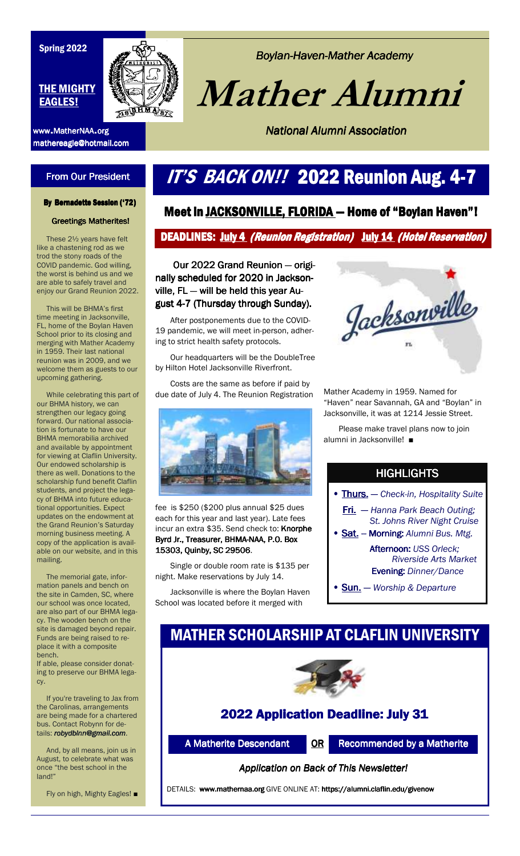#### Spring 2022

#### THE MIGHTY EAGLES!

mathereagle@hotmail.com mathereagle@hotmail.com



### **Boylan-Haven-Mather Academy**

 **Mather Alumni**

**National Alumni Association** 

# **From Our President**

# IT'S BACK ON!! 2022 Reunion Aug. 4-7

#### By Bernadette Session ('72)

**Greetings Matherites!** 

These 2½ years have felt like a chastening rod as we trod the stony roads of the COVID pandemic. God willing, the worst is behind us and we are able to safely travel and enjoy our Grand Reunion 2022.

 This will be BHMA's first time meeting in Jacksonville, FL, home of the Boylan Haven School prior to its closing and merging with Mather Academy in 1959. Their last national reunion was in 2009, and we welcome them as guests to our upcoming gathering.

 While celebrating this part of our BHMA history, we can strengthen our legacy going forward. Our national association is fortunate to have our BHMA memorabilia archived and available by appointment for viewing at Claflin University. Our endowed scholarship is there as well. Donations to the scholarship fund benefit Claflin students, and project the legacy of BHMA into future educational opportunities. Expect updates on the endowment at the Grand Reunion's Saturday morning business meeting. A copy of the application is available on our website, and in this mailing.

 The memorial gate, information panels and bench on the site in Camden, SC, where our school was once located, are also part of our BHMA legacy. The wooden bench on the site is damaged beyond repair. Funds are being raised to replace it with a composite bench.

If able, please consider donating to preserve our BHMA legacy.

 If you're traveling to Jax from the Carolinas, arrangements are being made for a chartered bus. Contact Robynn for details: *robydblnn@gmail.com*.

 And, by all means, join us in August, to celebrate what was once "the best school in the land!"

Fly on high, Mighty Eagles! ■

### Meet in JACKSONVILLE, FLORIDA - Home of "Boylan Haven"!

#### DEADLINES: July 4 (Reunion Registration) July 14 (Hotel Reservation)

Our 2022 Grand Reunion — originally scheduled for 2020 in Jacksonville,  $FL - will$  be held this year August 4-7 (Thursday through Sunday).

 After postponements due to the COVID-19 pandemic, we will meet in-person, adhering to strict health safety protocols.

 Our headquarters will be the DoubleTree by Hilton Hotel Jacksonville Riverfront.

 Costs are the same as before if paid by due date of July 4. The Reunion Registration



fee is \$250 (\$200 plus annual \$25 dues each for this year and last year). Late fees incur an extra \$35. Send check to: Knorphe Byrd Jr., Treasurer, BHMA-NAA, P.O. Box 15303, Quinby, SC 29506. 15303, Quinby, 29506

 Single or double room rate is \$135 per night. Make reservations by July 14.

 Jacksonville is where the Boylan Haven School was located before it merged with



Mather Academy in 1959. Named for "Haven" near Savannah, GA and "Boylan" in Jacksonville, it was at 1214 Jessie Street.

 Please make travel plans now to join alumni in Jacksonville! ■

### **HIGHLIGHTS**

- Thurs. Thurs.— *Check-in, Hospitality Suite*
- **Fri.** Hanna Park Beach Outing;  *St. Johns River Night Cruise*
- **Sat.** Morning: *Alumni Bus. Mtg.* Afternoon: *USS Orleck; Riverside Arts Market* 
	- Evening: Evening: *Dinner/Dance*
- Sun.— *Worship & Departure*

# MATHER SCHOLARSHIP AT CLAFLIN UNIVERSITY



### 2022 Application Deadline: July 31

A Matherite Descendant **OR** Recommended by a Matherite

#### **Application on Back of This Newsletter!**

DETAILS: www.mathernaa.org GIVE ONLINE AT: https://alumni.claflin.edu/givenow